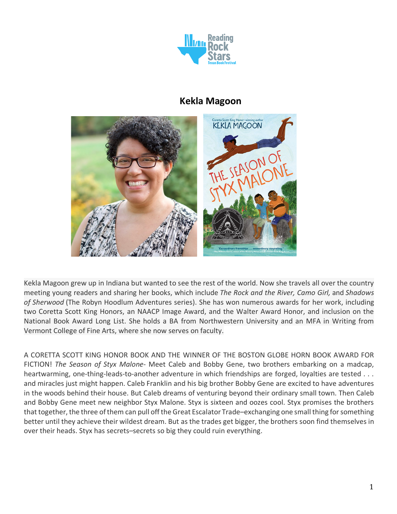

# **Kekla Magoon**



Kekla Magoon grew up in Indiana but wanted to see the rest of the world. Now she travels all over the country meeting young readers and sharing her books, which include *The Rock and the River, Camo Girl,* and *Shadows of Sherwood* (The Robyn Hoodlum Adventures series). She has won numerous awards for her work, including two Coretta Scott King Honors, an NAACP Image Award, and the Walter Award Honor, and inclusion on the National Book Award Long List. She holds a BA from Northwestern University and an MFA in Writing from Vermont College of Fine Arts, where she now serves on faculty.

A CORETTA SCOTT KING HONOR BOOK AND THE WINNER OF THE BOSTON GLOBE HORN BOOK AWARD FOR FICTION! *The Season of Styx Malone*- Meet Caleb and Bobby Gene, two brothers embarking on a madcap, heartwarming, one-thing-leads-to-another adventure in which friendships are forged, loyalties are tested . . . and miracles just might happen. Caleb Franklin and his big brother Bobby Gene are excited to have adventures in the woods behind their house. But Caleb dreams of venturing beyond their ordinary small town. Then Caleb and Bobby Gene meet new neighbor Styx Malone. Styx is sixteen and oozes cool. Styx promises the brothers that together, the three of them can pull off the Great Escalator Trade–exchanging one small thing for something better until they achieve their wildest dream. But as the trades get bigger, the brothers soon find themselves in over their heads. Styx has secrets–secrets so big they could ruin everything.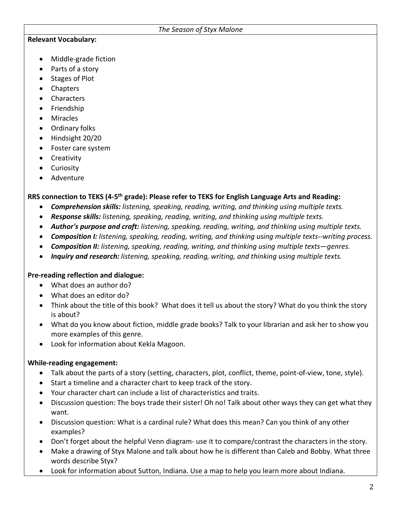#### **Relevant Vocabulary:**

- Middle-grade fiction
- Parts of a story
- Stages of Plot
- Chapters
- Characters
- Friendship
- Miracles
- Ordinary folks
- Hindsight 20/20
- Foster care system
- Creativity
- Curiosity
- Adventure

### **RRS connection to TEKS (4-5th grade): Please refer to TEKS for English Language Arts and Reading:**

- *Comprehension skills: listening, speaking, reading, writing, and thinking using multiple texts.*
- *Response skills: listening, speaking, reading, writing, and thinking using multiple texts.*
- *Author's purpose and craft: listening, speaking, reading, writing, and thinking using multiple texts.*
- *Composition I: listening, speaking, reading, writing, and thinking using multiple texts--writing process.*
- *Composition II: listening, speaking, reading, writing, and thinking using multiple texts—genres.*
- *Inquiry and research: listening, speaking, reading, writing, and thinking using multiple texts.*

#### **Pre-reading reflection and dialogue:**

- What does an author do?
- What does an editor do?
- Think about the title of this book? What does it tell us about the story? What do you think the story is about?
- What do you know about fiction, middle grade books? Talk to your librarian and ask her to show you more examples of this genre.
- Look for information about Kekla Magoon.

#### **While-reading engagement:**

- Talk about the parts of a story (setting, characters, plot, conflict, theme, point-of-view, tone, style).
- Start a timeline and a character chart to keep track of the story.
- Your character chart can include a list of characteristics and traits.
- Discussion question: The boys trade their sister! Oh no! Talk about other ways they can get what they want.
- Discussion question: What is a cardinal rule? What does this mean? Can you think of any other examples?
- Don't forget about the helpful Venn diagram- use it to compare/contrast the characters in the story.
- Make a drawing of Styx Malone and talk about how he is different than Caleb and Bobby. What three words describe Styx?
- Look for information about Sutton, Indiana. Use a map to help you learn more about Indiana.